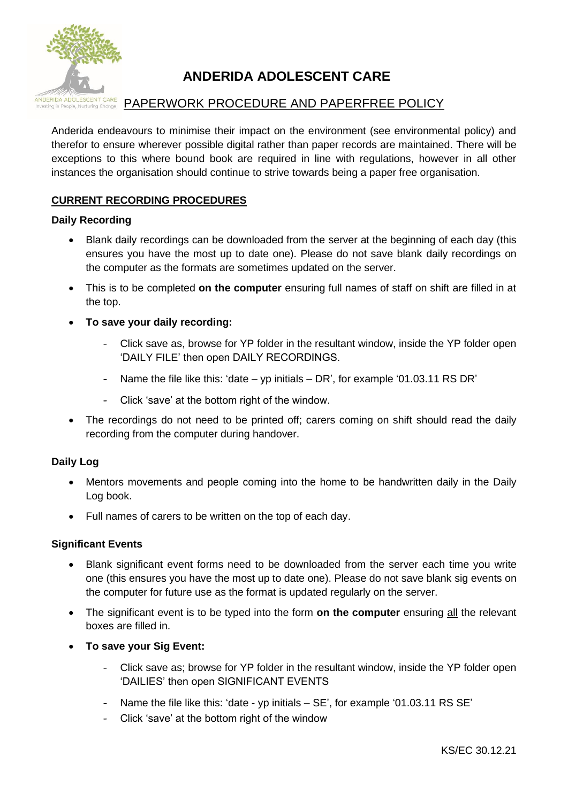

## **ANDERIDA ADOLESCENT CARE**

# **ADOLESCENT CARE** PAPERWORK PROCEDURE AND PAPERFREE POLICY

Anderida endeavours to minimise their impact on the environment (see environmental policy) and therefor to ensure wherever possible digital rather than paper records are maintained. There will be exceptions to this where bound book are required in line with regulations, however in all other instances the organisation should continue to strive towards being a paper free organisation.

## **CURRENT RECORDING PROCEDURES**

## **Daily Recording**

- Blank daily recordings can be downloaded from the server at the beginning of each day (this ensures you have the most up to date one). Please do not save blank daily recordings on the computer as the formats are sometimes updated on the server.
- This is to be completed **on the computer** ensuring full names of staff on shift are filled in at the top.
- **To save your daily recording:**
	- Click save as, browse for YP folder in the resultant window, inside the YP folder open 'DAILY FILE' then open DAILY RECORDINGS.
	- Name the file like this: 'date yp initials DR', for example '01.03.11 RS DR'
	- Click 'save' at the bottom right of the window.
- The recordings do not need to be printed off; carers coming on shift should read the daily recording from the computer during handover.

## **Daily Log**

- Mentors movements and people coming into the home to be handwritten daily in the Daily Log book.
- Full names of carers to be written on the top of each day.

## **Significant Events**

- Blank significant event forms need to be downloaded from the server each time you write one (this ensures you have the most up to date one). Please do not save blank sig events on the computer for future use as the format is updated regularly on the server.
- The significant event is to be typed into the form **on the computer** ensuring all the relevant boxes are filled in.
- **To save your Sig Event:**
	- Click save as; browse for YP folder in the resultant window, inside the YP folder open 'DAILIES' then open SIGNIFICANT EVENTS
	- Name the file like this: 'date yp initials SE', for example '01.03.11 RS SE'
	- Click 'save' at the bottom right of the window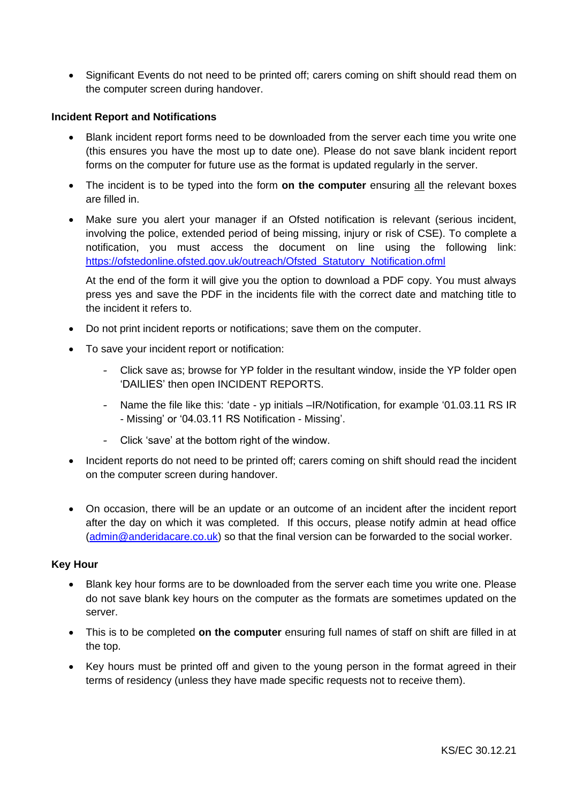• Significant Events do not need to be printed off; carers coming on shift should read them on the computer screen during handover.

## **Incident Report and Notifications**

- Blank incident report forms need to be downloaded from the server each time you write one (this ensures you have the most up to date one). Please do not save blank incident report forms on the computer for future use as the format is updated regularly in the server.
- The incident is to be typed into the form **on the computer** ensuring all the relevant boxes are filled in.
- Make sure you alert your manager if an Ofsted notification is relevant (serious incident, involving the police, extended period of being missing, injury or risk of CSE). To complete a notification, you must access the document on line using the following link: [https://ofstedonline.ofsted.gov.uk/outreach/Ofsted\\_Statutory\\_Notification.ofml](https://ofstedonline.ofsted.gov.uk/outreach/Ofsted_Statutory_Notification.ofml)

At the end of the form it will give you the option to download a PDF copy. You must always press yes and save the PDF in the incidents file with the correct date and matching title to the incident it refers to.

- Do not print incident reports or notifications; save them on the computer.
- To save your incident report or notification:
	- Click save as; browse for YP folder in the resultant window, inside the YP folder open 'DAILIES' then open INCIDENT REPORTS.
	- Name the file like this: 'date yp initials –IR/Notification, for example '01.03.11 RS IR - Missing' or '04.03.11 RS Notification - Missing'.
	- Click 'save' at the bottom right of the window.
- Incident reports do not need to be printed off; carers coming on shift should read the incident on the computer screen during handover.
- On occasion, there will be an update or an outcome of an incident after the incident report after the day on which it was completed. If this occurs, please notify admin at head office [\(admin@anderidacare.co.uk\)](mailto:admin@anderidacare.co.uk) so that the final version can be forwarded to the social worker.

#### **Key Hour**

- Blank key hour forms are to be downloaded from the server each time you write one. Please do not save blank key hours on the computer as the formats are sometimes updated on the server.
- This is to be completed **on the computer** ensuring full names of staff on shift are filled in at the top.
- Key hours must be printed off and given to the young person in the format agreed in their terms of residency (unless they have made specific requests not to receive them).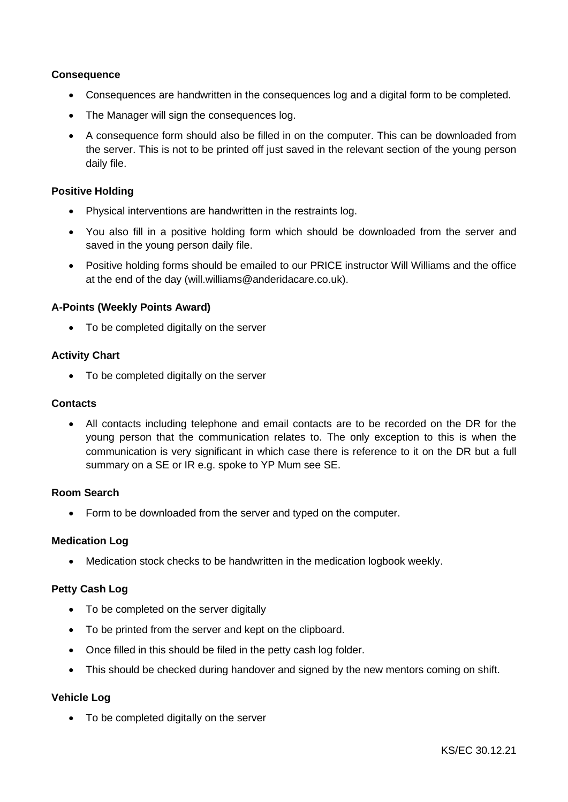## **Consequence**

- Consequences are handwritten in the consequences log and a digital form to be completed.
- The Manager will sign the consequences log.
- A consequence form should also be filled in on the computer. This can be downloaded from the server. This is not to be printed off just saved in the relevant section of the young person daily file.

## **Positive Holding**

- Physical interventions are handwritten in the restraints log.
- You also fill in a positive holding form which should be downloaded from the server and saved in the young person daily file.
- Positive holding forms should be emailed to our PRICE instructor Will Williams and the office at the end of the day (will.williams@anderidacare.co.uk).

#### **A-Points (Weekly Points Award)**

• To be completed digitally on the server

#### **Activity Chart**

• To be completed digitally on the server

#### **Contacts**

• All contacts including telephone and email contacts are to be recorded on the DR for the young person that the communication relates to. The only exception to this is when the communication is very significant in which case there is reference to it on the DR but a full summary on a SE or IR e.g. spoke to YP Mum see SE.

#### **Room Search**

• Form to be downloaded from the server and typed on the computer.

#### **Medication Log**

• Medication stock checks to be handwritten in the medication logbook weekly.

## **Petty Cash Log**

- To be completed on the server digitally
- To be printed from the server and kept on the clipboard.
- Once filled in this should be filed in the petty cash log folder.
- This should be checked during handover and signed by the new mentors coming on shift.

#### **Vehicle Log**

• To be completed digitally on the server